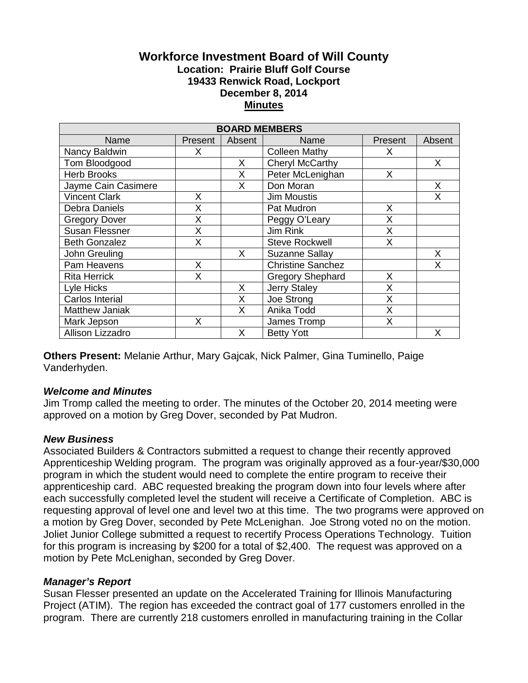# **Workforce Investment Board of Will County Location: Prairie Bluff Golf Course 19433 Renwick Road, Lockport December 8, 2014 Minutes**

| <b>BOARD MEMBERS</b>  |         |        |                          |         |        |
|-----------------------|---------|--------|--------------------------|---------|--------|
| Name                  | Present | Absent | Name                     | Present | Absent |
| Nancy Baldwin         | X       |        | <b>Colleen Mathy</b>     | X       |        |
| Tom Bloodgood         |         | X      | Cheryl McCarthy          |         | X      |
| <b>Herb Brooks</b>    |         | X      | Peter McLenighan         | X       |        |
| Jayme Cain Casimere   |         | X      | Don Moran                |         | X      |
| <b>Vincent Clark</b>  | Χ       |        | <b>Jim Moustis</b>       |         | X      |
| Debra Daniels         | X       |        | Pat Mudron               | X       |        |
| <b>Gregory Dover</b>  | X       |        | Peggy O'Leary            | X       |        |
| <b>Susan Flessner</b> | X       |        | Jim Rink                 | X       |        |
| <b>Beth Gonzalez</b>  | X       |        | <b>Steve Rockwell</b>    | X       |        |
| John Greuling         |         | X      | Suzanne Sallay           |         | X      |
| Pam Heavens           | X       |        | <b>Christine Sanchez</b> |         | x      |
| <b>Rita Herrick</b>   | X       |        | <b>Gregory Shephard</b>  | X       |        |
| Lyle Hicks            |         | X      | <b>Jerry Staley</b>      | X       |        |
| Carlos Interial       |         | X      | Joe Strong               | X       |        |
| <b>Matthew Janiak</b> |         | X      | Anika Todd               | X       |        |
| Mark Jepson           | X       |        | James Tromp              | X       |        |
| Allison Lizzadro      |         | X      | <b>Betty Yott</b>        |         | X      |

**Others Present:** Melanie Arthur, Mary Gajcak, Nick Palmer, Gina Tuminello, Paige Vanderhyden.

### *Welcome and Minutes*

Jim Tromp called the meeting to order. The minutes of the October 20, 2014 meeting were approved on a motion by Greg Dover, seconded by Pat Mudron.

## *New Business*

Associated Builders & Contractors submitted a request to change their recently approved Apprenticeship Welding program. The program was originally approved as a four-year/\$30,000 program in which the student would need to complete the entire program to receive their apprenticeship card. ABC requested breaking the program down into four levels where after each successfully completed level the student will receive a Certificate of Completion. ABC is requesting approval of level one and level two at this time. The two programs were approved on a motion by Greg Dover, seconded by Pete McLenighan. Joe Strong voted no on the motion. Joliet Junior College submitted a request to recertify Process Operations Technology. Tuition for this program is increasing by \$200 for a total of \$2,400. The request was approved on a motion by Pete McLenighan, seconded by Greg Dover.

## *Manager's Report*

Susan Flesser presented an update on the Accelerated Training for Illinois Manufacturing Project (ATIM). The region has exceeded the contract goal of 177 customers enrolled in the program. There are currently 218 customers enrolled in manufacturing training in the Collar